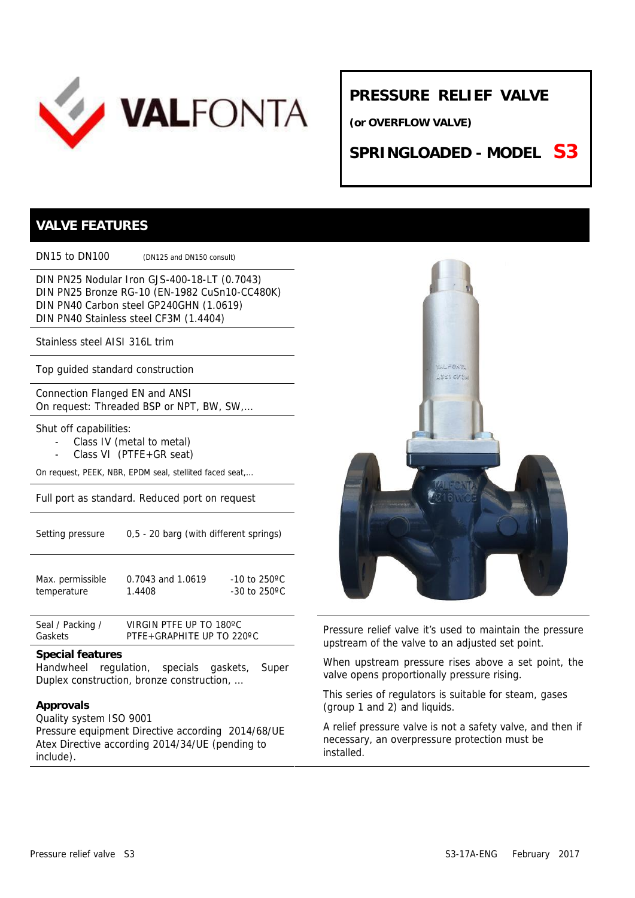

## **PRESSURE RELIEF VALVE**

**(or OVERFLOW VALVE)**

**SPRINGLOADED - MODEL S3**

### **VALVE FEATURES**

DN15 to DN100 (DN125 and DN150 consult)

DIN PN25 Nodular Iron GJS-400-18-LT (0.7043) DIN PN25 Bronze RG-10 (EN-1982 CuSn10-CC480K) DIN PN40 Carbon steel GP240GHN (1.0619) DIN PN40 Stainless steel CF3M (1.4404)

Stainless steel AISI 316L trim

Top guided standard construction

Connection Flanged EN and ANSI On request: Threaded BSP or NPT, BW, SW,…

Shut off capabilities:

- Class IV (metal to metal)
- Class VI (PTFE+GR seat)

On request, PEEK, NBR, EPDM seal, stellited faced seat,…

Full port as standard. Reduced port on request

| Setting pressure | 0,5 - 20 barg (with different springs) |
|------------------|----------------------------------------|
|                  |                                        |

| Max. permissible | 0.7043 and 1.0619 | $-10$ to 250°C          |
|------------------|-------------------|-------------------------|
| temperature      | 1.4408            | -30 to 250 $^{\circ}$ C |

Seal / Packing / VIRGIN PTFE UP TO 180°C<br>Gaskets FTFE+GRAPHITE UP TO 220°C Gaskets VIRGIN PTFE UP TO 180ºC

#### **Special features**

Handwheel regulation, specials gaskets, Super Duplex construction, bronze construction, …

#### **Approvals**

Quality system ISO 9001 Pressure equipment Directive according 2014/68/UE Atex Directive according 2014/34/UE (pending to include).



Pressure relief valve it's used to maintain the pressure upstream of the valve to an adjusted set point.

When upstream pressure rises above a set point, the valve opens proportionally pressure rising.

This series of regulators is suitable for steam, gases (group 1 and 2) and liquids.

A relief pressure valve is not a safety valve, and then if necessary, an overpressure protection must be installed.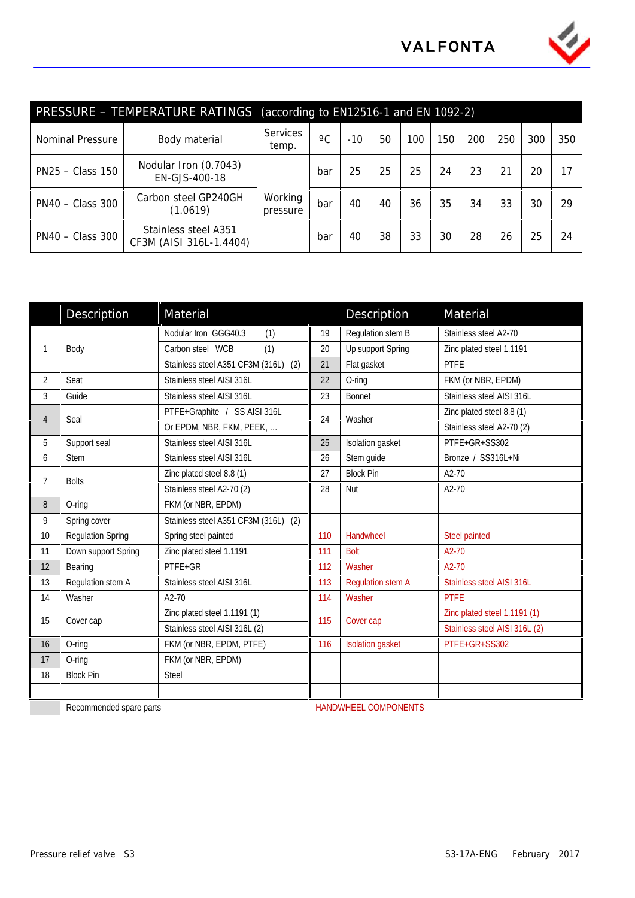

|                    | PRESSURE - TEMPERATURE RATINGS                  | (according to $EN125\overline{16-1}$ and EN 1092-2) |                 |           |    |     |     |     |     |     |     |
|--------------------|-------------------------------------------------|-----------------------------------------------------|-----------------|-----------|----|-----|-----|-----|-----|-----|-----|
| Nominal Pressure   | Body material                                   | <b>Services</b><br>temp.                            | $\rm ^{\circ}C$ | $-10^{-}$ | 50 | 100 | 150 | 200 | 250 | 300 | 350 |
| PN25 - Class 150   | Nodular Iron (0.7043)<br>EN-GJS-400-18          |                                                     | bar             | 25        | 25 | 25  | 24  | 23  | 21  | 20  | 17  |
| $PN40 - Class 300$ | Carbon steel GP240GH<br>(1.0619)                | Working<br>pressure                                 | bar             | 40        | 40 | 36  | 35  | 34  | 33  | 30  | 29  |
| $PN40 - Class 300$ | Stainless steel A351<br>CF3M (AISI 316L-1.4404) |                                                     | bar             | 40        | 38 | 33  | 30  | 28  | 26  | 25  | 24  |

|                | Description              | Material                             |     | Description                 | Material                      |  |  |
|----------------|--------------------------|--------------------------------------|-----|-----------------------------|-------------------------------|--|--|
|                |                          | Nodular Iron GGG40.3<br>(1)          | 19  | Regulation stem B           | Stainless steel A2-70         |  |  |
| 1              | Body                     | Carbon steel WCB<br>(1)              | 20  | Up support Spring           | Zinc plated steel 1.1191      |  |  |
|                |                          | Stainless steel A351 CF3M (316L) (2) | 21  | Flat gasket                 | <b>PTFE</b>                   |  |  |
| $\overline{2}$ | Seat                     | Stainless steel AISI 316L            | 22  | O-ring                      | FKM (or NBR, EPDM)            |  |  |
| 3              | Guide                    | Stainless steel AISI 316L            | 23  | <b>Bonnet</b>               | Stainless steel AISI 316L     |  |  |
|                |                          | PTFE+Graphite / SS AISI 316L         |     |                             | Zinc plated steel 8.8 (1)     |  |  |
| $\overline{4}$ | Seal                     | Or EPDM, NBR, FKM, PEEK,             | 24  | Washer                      | Stainless steel A2-70 (2)     |  |  |
| 5              | Support seal             | Stainless steel AISI 316L            | 25  | Isolation gasket            | PTFE+GR+SS302                 |  |  |
| 6              | <b>Stem</b>              | Stainless steel AISI 316L            | 26  | Stem guide                  | Bronze / SS316L+Ni            |  |  |
| $\overline{7}$ | <b>Bolts</b>             | Zinc plated steel 8.8 (1)            | 27  | <b>Block Pin</b>            | $A2-70$                       |  |  |
|                |                          | Stainless steel A2-70 (2)            | 28  | Nut                         | A2-70                         |  |  |
| 8              | O-ring                   | FKM (or NBR, EPDM)                   |     |                             |                               |  |  |
| 9              | Spring cover             | Stainless steel A351 CF3M (316L) (2) |     |                             |                               |  |  |
| 10             | <b>Regulation Spring</b> | Spring steel painted                 | 110 | Handwheel                   | Steel painted                 |  |  |
| 11             | Down support Spring      | Zinc plated steel 1.1191             | 111 | <b>Bolt</b>                 | A2-70                         |  |  |
| 12             | Bearing                  | PTFE+GR                              | 112 | Washer                      | A2-70                         |  |  |
| 13             | Regulation stem A        | Stainless steel AISI 316L            | 113 | <b>Regulation stem A</b>    | Stainless steel AISI 316L     |  |  |
| 14             | Washer                   | $A2-70$                              | 114 | Washer                      | <b>PTFE</b>                   |  |  |
| 15             | Cover cap                | Zinc plated steel 1.1191 (1)         | 115 | Cover cap                   | Zinc plated steel 1.1191 (1)  |  |  |
|                |                          | Stainless steel AISI 316L (2)        |     |                             | Stainless steel AISI 316L (2) |  |  |
| 16             | O-ring                   | FKM (or NBR, EPDM, PTFE)             | 116 | <b>Isolation gasket</b>     | PTFE+GR+SS302                 |  |  |
| 17             | O-ring                   | FKM (or NBR, EPDM)                   |     |                             |                               |  |  |
| 18             | <b>Block Pin</b>         | <b>Steel</b>                         |     |                             |                               |  |  |
|                |                          |                                      |     |                             |                               |  |  |
|                | Recommended spare parts  |                                      |     | <b>HANDWHEEL COMPONENTS</b> |                               |  |  |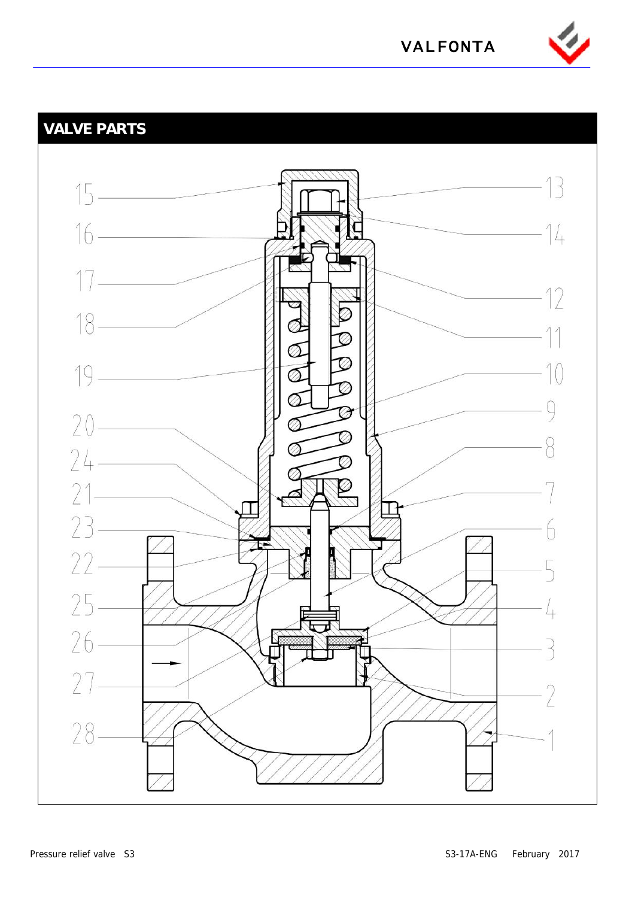

**VALFONTA**

# **VALVE PARTS**

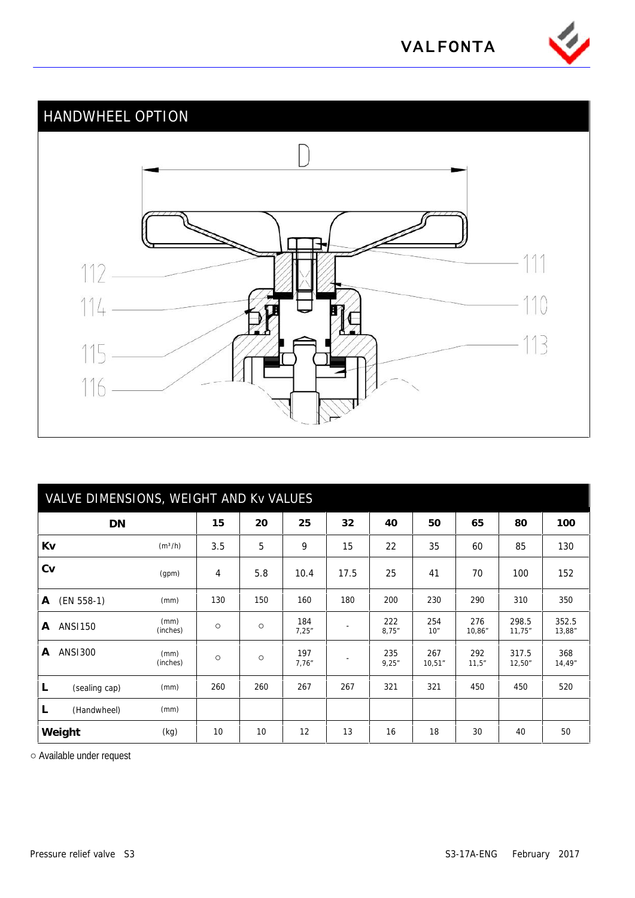

# **VALFONTA**

# HANDWHEEL OPTION 111  $112 114 -$ 110 13 115  $116 -$

| VALVE DIMENSIONS, WEIGHT AND Kv VALUES |                     |     |     |              |      |              |               |               |                 |                 |
|----------------------------------------|---------------------|-----|-----|--------------|------|--------------|---------------|---------------|-----------------|-----------------|
| DN                                     |                     | 15  | 20  | 25           | 32   | 40           | 50            | 65            | 80              | 100             |
| Kv                                     | (m <sup>3</sup> /h) | 3.5 | 5   | 9            | 15   | 22           | 35            | 60            | 85              | 130             |
| Cv                                     | (gpm)               | 4   | 5.8 | 10.4         | 17.5 | 25           | 41            | 70            | 100             | 152             |
| $(EN 558-1)$<br>A                      | (mm)                | 130 | 150 | 160          | 180  | 200          | 230           | 290           | 310             | 350             |
| <b>ANSI150</b><br>A                    | (mm)<br>(inches)    |     |     | 184<br>7,25" |      | 222<br>8,75" | 254<br>10"    | 276<br>10,86" | 298.5<br>11,75" | 352.5<br>13,88" |
| <b>ANS1300</b><br>A                    | (mm)<br>(inches)    |     |     | 197<br>7,76" |      | 235<br>9,25" | 267<br>10,51" | 292<br>11,5"  | 317.5<br>12,50" | 368<br>14,49"   |
| L<br>(sealing cap)                     | (mm)                | 260 | 260 | 267          | 267  | 321          | 321           | 450           | 450             | 520             |
| (Handwheel)<br>L                       | (mm)                |     |     |              |      |              |               |               |                 |                 |
| Weight                                 | (kg)                | 10  | 10  | 12           | 13   | 16           | 18            | 30            | 40              | 50              |

Available under request